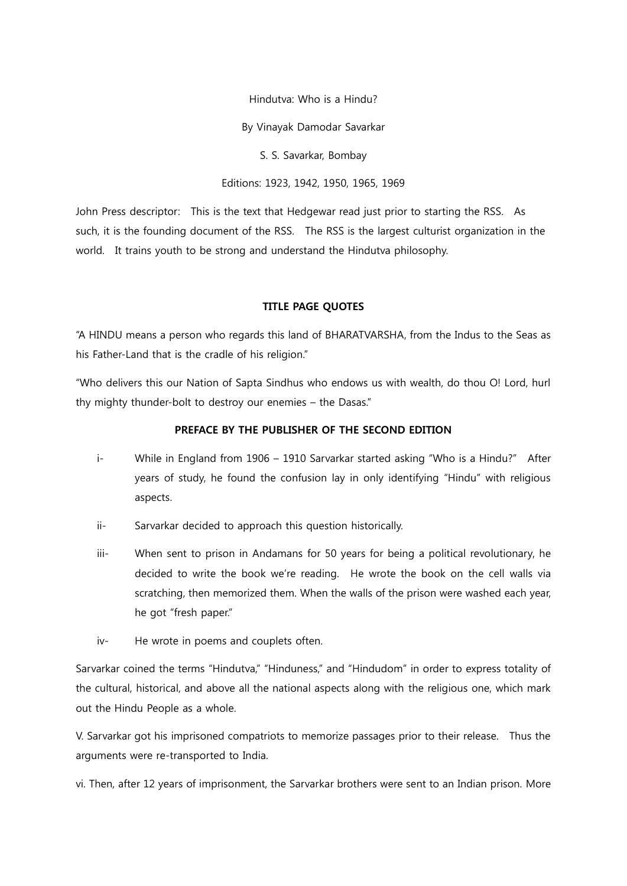Hindutva: Who is a Hindu?

By Vinayak Damodar Savarkar

S. S. Savarkar, Bombay

Editions: 1923, 1942, 1950, 1965, 1969

John Press descriptor: This is the text that Hedgewar read just prior to starting the RSS. As such, it is the founding document of the RSS. The RSS is the largest culturist organization in the world. It trains youth to be strong and understand the Hindutva philosophy.

## TITLE PAGE QUOTES

"A HINDU means a person who regards this land of BHARATVARSHA, from the Indus to the Seas as his Father-Land that is the cradle of his religion."

"Who delivers this our Nation of Sapta Sindhus who endows us with wealth, do thou O! Lord, hurl thy mighty thunder-bolt to destroy our enemies – the Dasas."

## PREFACE BY THE PUBLISHER OF THE SECOND EDITION

- i- While in England from 1906 1910 Sarvarkar started asking "Who is a Hindu?" After years of study, he found the confusion lay in only identifying "Hindu" with religious aspects.
- ii- Sarvarkar decided to approach this question historically.
- iii- When sent to prison in Andamans for 50 years for being a political revolutionary, he decided to write the book we're reading. He wrote the book on the cell walls via scratching, then memorized them. When the walls of the prison were washed each year, he got "fresh paper."
- iv- He wrote in poems and couplets often.

Sarvarkar coined the terms "Hindutva," "Hinduness," and "Hindudom" in order to express totality of the cultural, historical, and above all the national aspects along with the religious one, which mark out the Hindu People as a whole.

V. Sarvarkar got his imprisoned compatriots to memorize passages prior to their release. Thus the arguments were re-transported to India.

vi. Then, after 12 years of imprisonment, the Sarvarkar brothers were sent to an Indian prison. More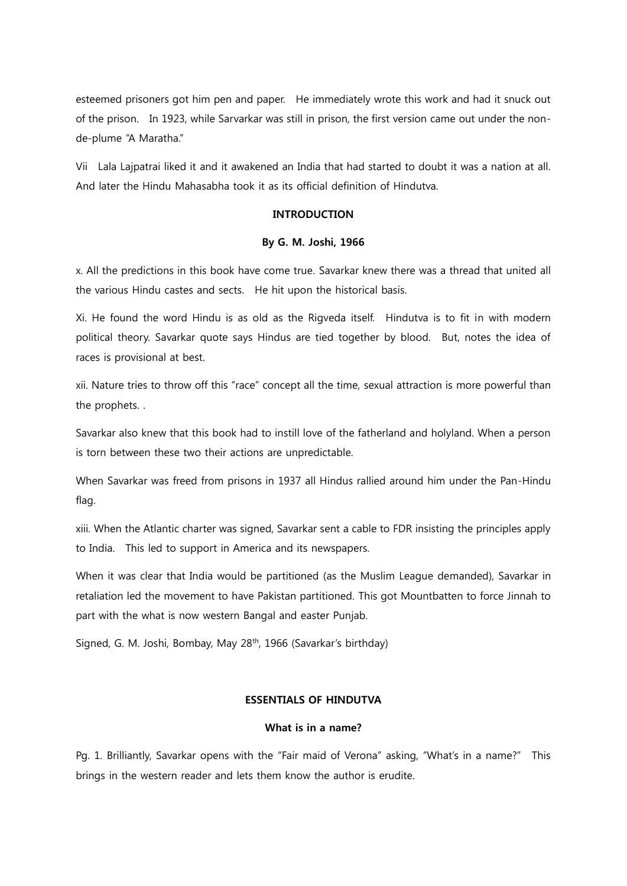esteemed prisoners got him pen and paper. He immediately wrote this work and had it snuck out of the prison. In 1923, while Sarvarkar was still in prison, the first version came out under the nonde-plume "A Maratha."

Vii Lala Lajpatrai liked it and it awakened an India that had started to doubt it was a nation at all. And later the Hindu Mahasabha took it as its official definition of Hindutva.

## INTRODUCTION

#### By G. M. Joshi, 1966

x. All the predictions in this book have come true. Savarkar knew there was a thread that united all the various Hindu castes and sects. He hit upon the historical basis.

Xi. He found the word Hindu is as old as the Rigveda itself. Hindutva is to fit in with modern political theory. Savarkar quote says Hindus are tied together by blood. But, notes the idea of races is provisional at best.

xii. Nature tries to throw off this "race" concept all the time, sexual attraction is more powerful than the prophets. .

Savarkar also knew that this book had to instill love of the fatherland and holyland. When a person is torn between these two their actions are unpredictable.

When Savarkar was freed from prisons in 1937 all Hindus rallied around him under the Pan-Hindu flag.

xiii. When the Atlantic charter was signed, Savarkar sent a cable to FDR insisting the principles apply to India. This led to support in America and its newspapers.

When it was clear that India would be partitioned (as the Muslim League demanded), Savarkar in retaliation led the movement to have Pakistan partitioned. This got Mountbatten to force Jinnah to part with the what is now western Bangal and easter Punjab.

Signed, G. M. Joshi, Bombay, May 28<sup>th</sup>, 1966 (Savarkar's birthday)

## ESSENTIALS OF HINDUTVA

## What is in a name?

Pg. 1. Brilliantly, Savarkar opens with the "Fair maid of Verona" asking, "What's in a name?" This brings in the western reader and lets them know the author is erudite.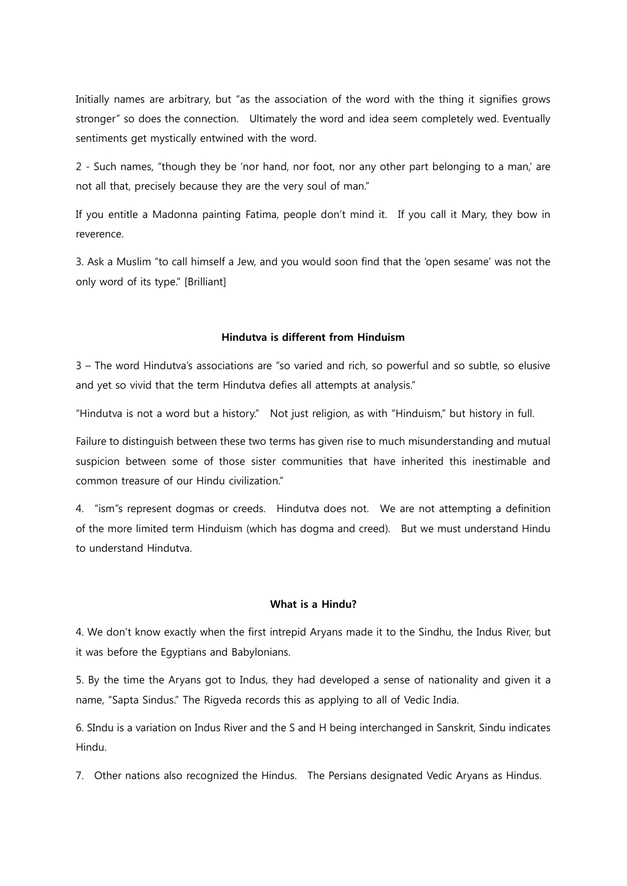Initially names are arbitrary, but "as the association of the word with the thing it signifies grows stronger" so does the connection. Ultimately the word and idea seem completely wed. Eventually sentiments get mystically entwined with the word.

2 - Such names, "though they be 'nor hand, nor foot, nor any other part belonging to a man,' are not all that, precisely because they are the very soul of man."

If you entitle a Madonna painting Fatima, people don't mind it. If you call it Mary, they bow in reverence.

3. Ask a Muslim "to call himself a Jew, and you would soon find that the 'open sesame' was not the only word of its type." [Brilliant]

## Hindutva is different from Hinduism

3 – The word Hindutva's associations are "so varied and rich, so powerful and so subtle, so elusive and yet so vivid that the term Hindutva defies all attempts at analysis."

"Hindutva is not a word but a history." Not just religion, as with "Hinduism," but history in full.

Failure to distinguish between these two terms has given rise to much misunderstanding and mutual suspicion between some of those sister communities that have inherited this inestimable and common treasure of our Hindu civilization."

4. "ism"s represent dogmas or creeds. Hindutva does not. We are not attempting a definition of the more limited term Hinduism (which has dogma and creed). But we must understand Hindu to understand Hindutva.

## What is a Hindu?

4. We don't know exactly when the first intrepid Aryans made it to the Sindhu, the Indus River, but it was before the Egyptians and Babylonians.

5. By the time the Aryans got to Indus, they had developed a sense of nationality and given it a name, "Sapta Sindus." The Rigveda records this as applying to all of Vedic India.

6. SIndu is a variation on Indus River and the S and H being interchanged in Sanskrit, Sindu indicates Hindu.

7. Other nations also recognized the Hindus. The Persians designated Vedic Aryans as Hindus.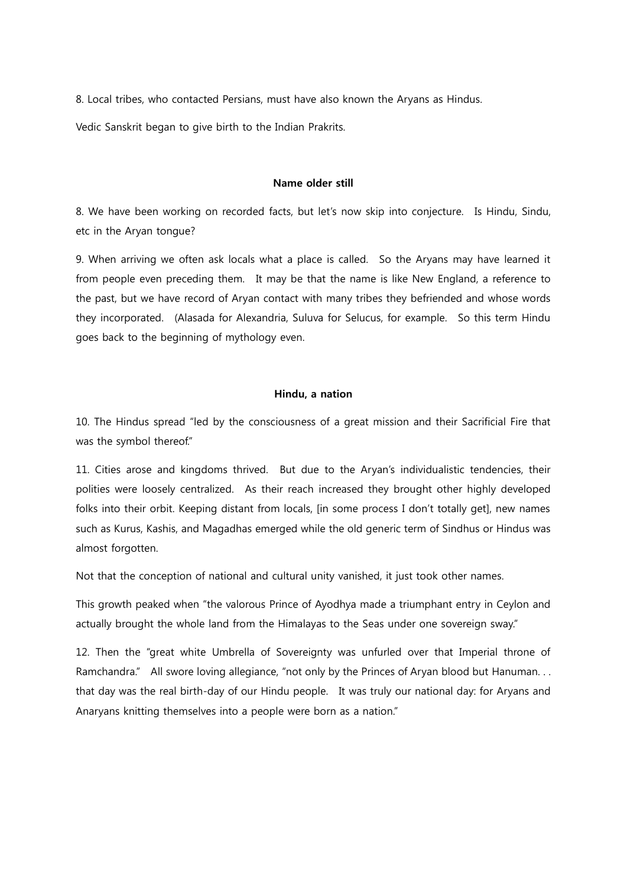8. Local tribes, who contacted Persians, must have also known the Aryans as Hindus.

Vedic Sanskrit began to give birth to the Indian Prakrits.

#### Name older still

8. We have been working on recorded facts, but let's now skip into conjecture. Is Hindu, Sindu, etc in the Aryan tongue?

9. When arriving we often ask locals what a place is called. So the Aryans may have learned it from people even preceding them. It may be that the name is like New England, a reference to the past, but we have record of Aryan contact with many tribes they befriended and whose words they incorporated. (Alasada for Alexandria, Suluva for Selucus, for example. So this term Hindu goes back to the beginning of mythology even.

#### Hindu, a nation

10. The Hindus spread "led by the consciousness of a great mission and their Sacrificial Fire that was the symbol thereof."

11. Cities arose and kingdoms thrived. But due to the Aryan's individualistic tendencies, their polities were loosely centralized. As their reach increased they brought other highly developed folks into their orbit. Keeping distant from locals, [in some process I don't totally get], new names such as Kurus, Kashis, and Magadhas emerged while the old generic term of Sindhus or Hindus was almost forgotten.

Not that the conception of national and cultural unity vanished, it just took other names.

This growth peaked when "the valorous Prince of Ayodhya made a triumphant entry in Ceylon and actually brought the whole land from the Himalayas to the Seas under one sovereign sway."

12. Then the "great white Umbrella of Sovereignty was unfurled over that Imperial throne of Ramchandra." All swore loving allegiance, "not only by the Princes of Aryan blood but Hanuman. . . that day was the real birth-day of our Hindu people. It was truly our national day: for Aryans and Anaryans knitting themselves into a people were born as a nation."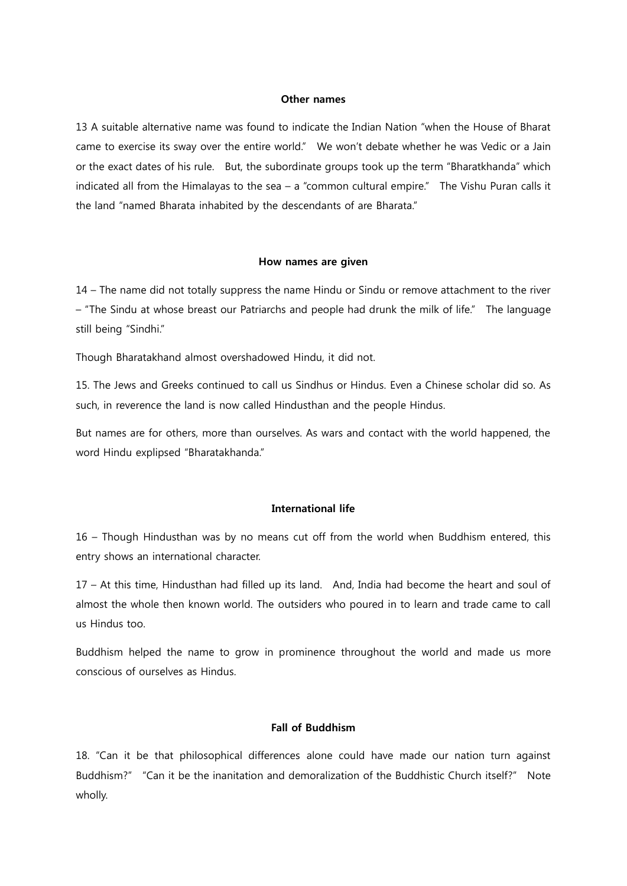## Other names

13 A suitable alternative name was found to indicate the Indian Nation "when the House of Bharat came to exercise its sway over the entire world." We won't debate whether he was Vedic or a Jain or the exact dates of his rule. But, the subordinate groups took up the term "Bharatkhanda" which indicated all from the Himalayas to the sea – a "common cultural empire." The Vishu Puran calls it the land "named Bharata inhabited by the descendants of are Bharata."

#### How names are given

14 – The name did not totally suppress the name Hindu or Sindu or remove attachment to the river – "The Sindu at whose breast our Patriarchs and people had drunk the milk of life." The language still being "Sindhi."

Though Bharatakhand almost overshadowed Hindu, it did not.

15. The Jews and Greeks continued to call us Sindhus or Hindus. Even a Chinese scholar did so. As such, in reverence the land is now called Hindusthan and the people Hindus.

But names are for others, more than ourselves. As wars and contact with the world happened, the word Hindu explipsed "Bharatakhanda."

#### International life

16 – Though Hindusthan was by no means cut off from the world when Buddhism entered, this entry shows an international character.

17 – At this time, Hindusthan had filled up its land. And, India had become the heart and soul of almost the whole then known world. The outsiders who poured in to learn and trade came to call us Hindus too.

Buddhism helped the name to grow in prominence throughout the world and made us more conscious of ourselves as Hindus.

## Fall of Buddhism

18. "Can it be that philosophical differences alone could have made our nation turn against Buddhism?" "Can it be the inanitation and demoralization of the Buddhistic Church itself?" Note wholly.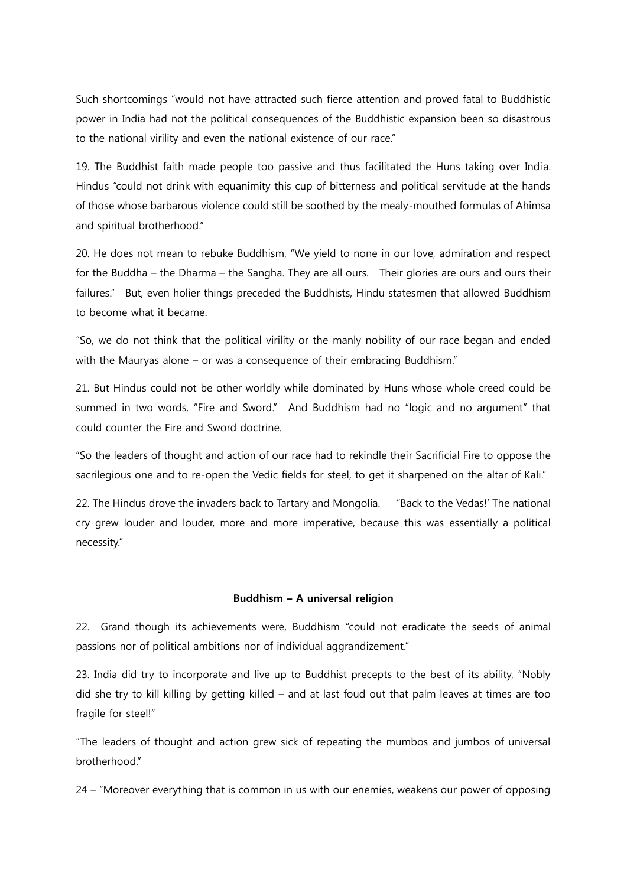Such shortcomings "would not have attracted such fierce attention and proved fatal to Buddhistic power in India had not the political consequences of the Buddhistic expansion been so disastrous to the national virility and even the national existence of our race."

19. The Buddhist faith made people too passive and thus facilitated the Huns taking over India. Hindus "could not drink with equanimity this cup of bitterness and political servitude at the hands of those whose barbarous violence could still be soothed by the mealy-mouthed formulas of Ahimsa and spiritual brotherhood."

20. He does not mean to rebuke Buddhism, "We yield to none in our love, admiration and respect for the Buddha – the Dharma – the Sangha. They are all ours. Their glories are ours and ours their failures." But, even holier things preceded the Buddhists, Hindu statesmen that allowed Buddhism to become what it became.

"So, we do not think that the political virility or the manly nobility of our race began and ended with the Mauryas alone – or was a consequence of their embracing Buddhism."

21. But Hindus could not be other worldly while dominated by Huns whose whole creed could be summed in two words, "Fire and Sword." And Buddhism had no "logic and no argument" that could counter the Fire and Sword doctrine.

"So the leaders of thought and action of our race had to rekindle their Sacrificial Fire to oppose the sacrilegious one and to re-open the Vedic fields for steel, to get it sharpened on the altar of Kali."

22. The Hindus drove the invaders back to Tartary and Mongolia. "Back to the Vedas!' The national cry grew louder and louder, more and more imperative, because this was essentially a political necessity."

#### Buddhism – A universal religion

22. Grand though its achievements were, Buddhism "could not eradicate the seeds of animal passions nor of political ambitions nor of individual aggrandizement."

23. India did try to incorporate and live up to Buddhist precepts to the best of its ability, "Nobly did she try to kill killing by getting killed – and at last foud out that palm leaves at times are too fragile for steel!"

"The leaders of thought and action grew sick of repeating the mumbos and jumbos of universal brotherhood."

24 – "Moreover everything that is common in us with our enemies, weakens our power of opposing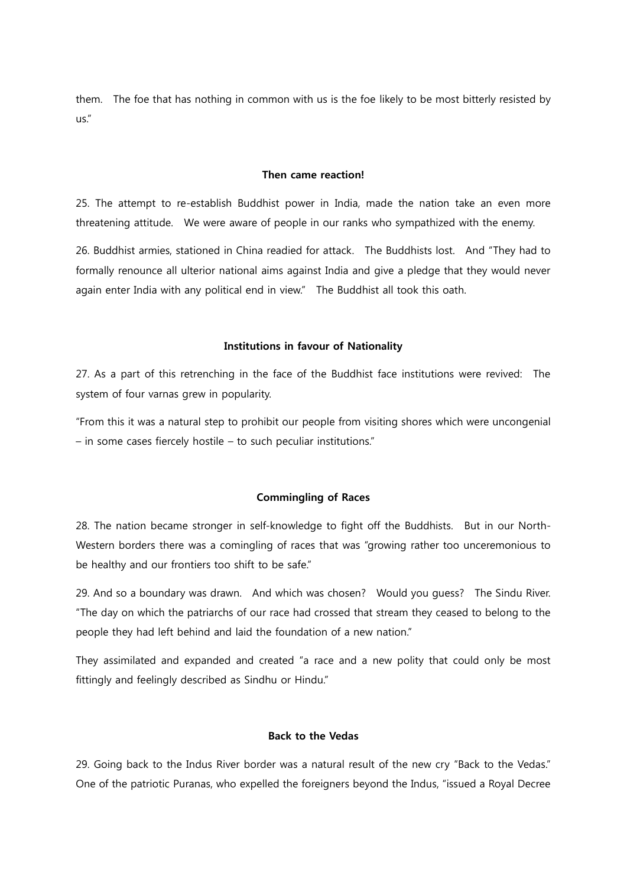them. The foe that has nothing in common with us is the foe likely to be most bitterly resisted by us."

#### Then came reaction!

25. The attempt to re-establish Buddhist power in India, made the nation take an even more threatening attitude. We were aware of people in our ranks who sympathized with the enemy.

26. Buddhist armies, stationed in China readied for attack. The Buddhists lost. And "They had to formally renounce all ulterior national aims against India and give a pledge that they would never again enter India with any political end in view." The Buddhist all took this oath.

#### Institutions in favour of Nationality

27. As a part of this retrenching in the face of the Buddhist face institutions were revived: The system of four varnas grew in popularity.

"From this it was a natural step to prohibit our people from visiting shores which were uncongenial – in some cases fiercely hostile – to such peculiar institutions."

#### Commingling of Races

28. The nation became stronger in self-knowledge to fight off the Buddhists. But in our North-Western borders there was a comingling of races that was "growing rather too unceremonious to be healthy and our frontiers too shift to be safe."

29. And so a boundary was drawn. And which was chosen? Would you guess? The Sindu River. "The day on which the patriarchs of our race had crossed that stream they ceased to belong to the people they had left behind and laid the foundation of a new nation."

They assimilated and expanded and created "a race and a new polity that could only be most fittingly and feelingly described as Sindhu or Hindu."

## Back to the Vedas

29. Going back to the Indus River border was a natural result of the new cry "Back to the Vedas." One of the patriotic Puranas, who expelled the foreigners beyond the Indus, "issued a Royal Decree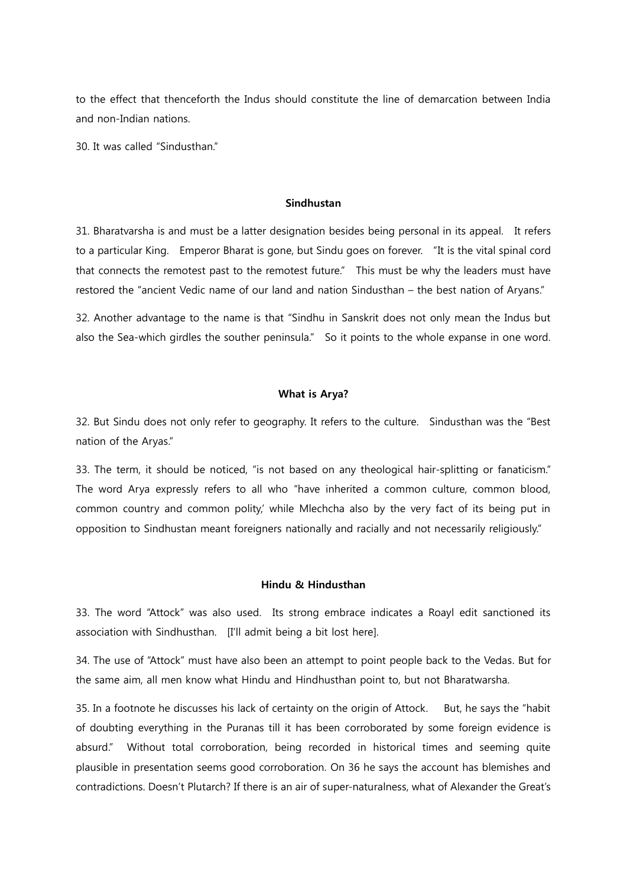to the effect that thenceforth the Indus should constitute the line of demarcation between India and non-Indian nations.

30. It was called "Sindusthan."

#### Sindhustan

31. Bharatvarsha is and must be a latter designation besides being personal in its appeal. It refers to a particular King. Emperor Bharat is gone, but Sindu goes on forever. "It is the vital spinal cord that connects the remotest past to the remotest future." This must be why the leaders must have restored the "ancient Vedic name of our land and nation Sindusthan – the best nation of Aryans."

32. Another advantage to the name is that "Sindhu in Sanskrit does not only mean the Indus but also the Sea-which girdles the souther peninsula." So it points to the whole expanse in one word.

## What is Arya?

32. But Sindu does not only refer to geography. It refers to the culture. Sindusthan was the "Best nation of the Aryas."

33. The term, it should be noticed, "is not based on any theological hair-splitting or fanaticism." The word Arya expressly refers to all who "have inherited a common culture, common blood, common country and common polity,' while Mlechcha also by the very fact of its being put in opposition to Sindhustan meant foreigners nationally and racially and not necessarily religiously."

#### Hindu & Hindusthan

33. The word "Attock" was also used. Its strong embrace indicates a Roayl edit sanctioned its association with Sindhusthan. [I'll admit being a bit lost here].

34. The use of "Attock" must have also been an attempt to point people back to the Vedas. But for the same aim, all men know what Hindu and Hindhusthan point to, but not Bharatwarsha.

35. In a footnote he discusses his lack of certainty on the origin of Attock. But, he says the "habit of doubting everything in the Puranas till it has been corroborated by some foreign evidence is absurd." Without total corroboration, being recorded in historical times and seeming quite plausible in presentation seems good corroboration. On 36 he says the account has blemishes and contradictions. Doesn't Plutarch? If there is an air of super-naturalness, what of Alexander the Great's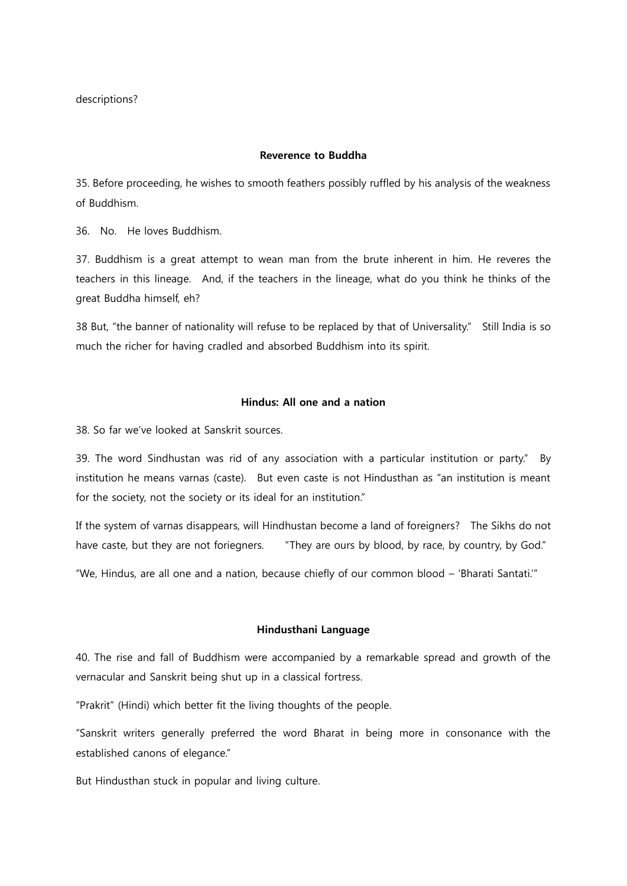descriptions?

## Reverence to Buddha

35. Before proceeding, he wishes to smooth feathers possibly ruffled by his analysis of the weakness of Buddhism.

36. No. He loves Buddhism.

37. Buddhism is a great attempt to wean man from the brute inherent in him. He reveres the teachers in this lineage. And, if the teachers in the lineage, what do you think he thinks of the great Buddha himself, eh?

38 But, "the banner of nationality will refuse to be replaced by that of Universality." Still India is so much the richer for having cradled and absorbed Buddhism into its spirit.

## Hindus: All one and a nation

38. So far we've looked at Sanskrit sources.

39. The word Sindhustan was rid of any association with a particular institution or party." By institution he means varnas (caste). But even caste is not Hindusthan as "an institution is meant for the society, not the society or its ideal for an institution."

If the system of varnas disappears, will Hindhustan become a land of foreigners? The Sikhs do not have caste, but they are not foriegners. "They are ours by blood, by race, by country, by God."

"We, Hindus, are all one and a nation, because chiefly of our common blood – 'Bharati Santati.'"

#### Hindusthani Language

40. The rise and fall of Buddhism were accompanied by a remarkable spread and growth of the vernacular and Sanskrit being shut up in a classical fortress.

"Prakrit" (Hindi) which better fit the living thoughts of the people.

"Sanskrit writers generally preferred the word Bharat in being more in consonance with the established canons of elegance."

But Hindusthan stuck in popular and living culture.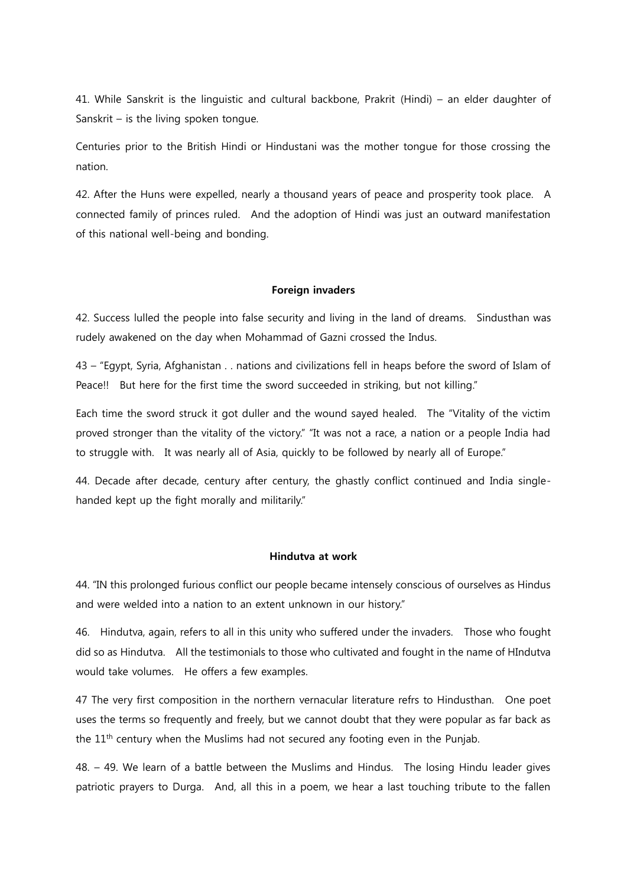41. While Sanskrit is the linguistic and cultural backbone, Prakrit (Hindi) – an elder daughter of Sanskrit – is the living spoken tongue.

Centuries prior to the British Hindi or Hindustani was the mother tongue for those crossing the nation.

42. After the Huns were expelled, nearly a thousand years of peace and prosperity took place. A connected family of princes ruled. And the adoption of Hindi was just an outward manifestation of this national well-being and bonding.

#### **Foreign invaders**

42. Success lulled the people into false security and living in the land of dreams. Sindusthan was rudely awakened on the day when Mohammad of Gazni crossed the Indus.

43 – "Egypt, Syria, Afghanistan . . nations and civilizations fell in heaps before the sword of Islam of Peace!! But here for the first time the sword succeeded in striking, but not killing."

Each time the sword struck it got duller and the wound sayed healed. The "Vitality of the victim proved stronger than the vitality of the victory." "It was not a race, a nation or a people India had to struggle with. It was nearly all of Asia, quickly to be followed by nearly all of Europe."

44. Decade after decade, century after century, the ghastly conflict continued and India singlehanded kept up the fight morally and militarily."

#### Hindutva at work

44. "IN this prolonged furious conflict our people became intensely conscious of ourselves as Hindus and were welded into a nation to an extent unknown in our history."

46. Hindutva, again, refers to all in this unity who suffered under the invaders. Those who fought did so as Hindutva. All the testimonials to those who cultivated and fought in the name of HIndutva would take volumes. He offers a few examples.

47 The very first composition in the northern vernacular literature refrs to Hindusthan. One poet uses the terms so frequently and freely, but we cannot doubt that they were popular as far back as the  $11<sup>th</sup>$  century when the Muslims had not secured any footing even in the Punjab.

48. – 49. We learn of a battle between the Muslims and Hindus. The losing Hindu leader gives patriotic prayers to Durga. And, all this in a poem, we hear a last touching tribute to the fallen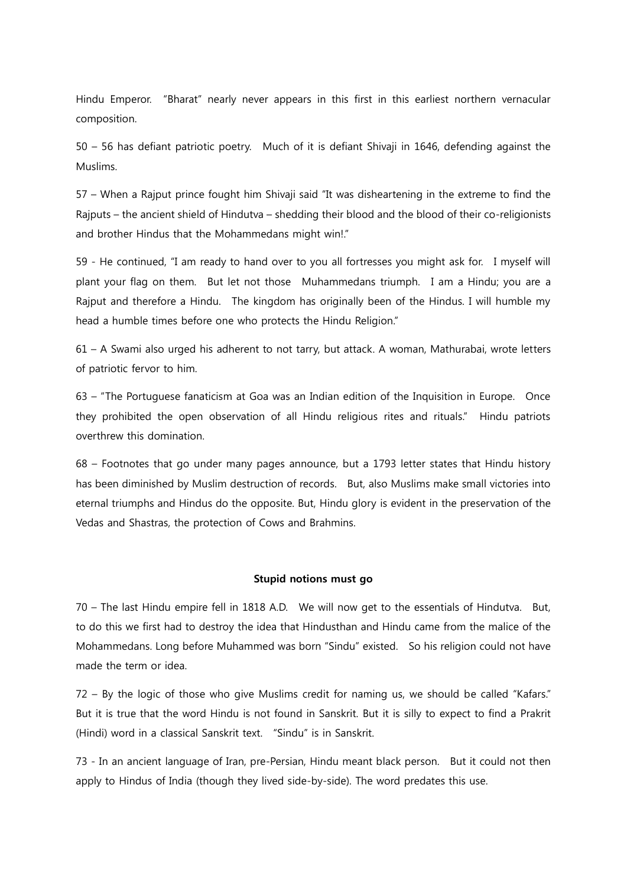Hindu Emperor. "Bharat" nearly never appears in this first in this earliest northern vernacular composition.

50 – 56 has defiant patriotic poetry. Much of it is defiant Shivaji in 1646, defending against the Muslims.

57 – When a Rajput prince fought him Shivaji said "It was disheartening in the extreme to find the Rajputs – the ancient shield of Hindutva – shedding their blood and the blood of their co-religionists and brother Hindus that the Mohammedans might win!."

59 - He continued, "I am ready to hand over to you all fortresses you might ask for. I myself will plant your flag on them. But let not those Muhammedans triumph. I am a Hindu; you are a Rajput and therefore a Hindu. The kingdom has originally been of the Hindus. I will humble my head a humble times before one who protects the Hindu Religion."

61 – A Swami also urged his adherent to not tarry, but attack. A woman, Mathurabai, wrote letters of patriotic fervor to him.

63 – "The Portuguese fanaticism at Goa was an Indian edition of the Inquisition in Europe. Once they prohibited the open observation of all Hindu religious rites and rituals." Hindu patriots overthrew this domination.

68 – Footnotes that go under many pages announce, but a 1793 letter states that Hindu history has been diminished by Muslim destruction of records. But, also Muslims make small victories into eternal triumphs and Hindus do the opposite. But, Hindu glory is evident in the preservation of the Vedas and Shastras, the protection of Cows and Brahmins.

#### Stupid notions must go

70 – The last Hindu empire fell in 1818 A.D. We will now get to the essentials of Hindutva. But, to do this we first had to destroy the idea that Hindusthan and Hindu came from the malice of the Mohammedans. Long before Muhammed was born "Sindu" existed. So his religion could not have made the term or idea.

72 – By the logic of those who give Muslims credit for naming us, we should be called "Kafars." But it is true that the word Hindu is not found in Sanskrit. But it is silly to expect to find a Prakrit (Hindi) word in a classical Sanskrit text. "Sindu" is in Sanskrit.

73 - In an ancient language of Iran, pre-Persian, Hindu meant black person. But it could not then apply to Hindus of India (though they lived side-by-side). The word predates this use.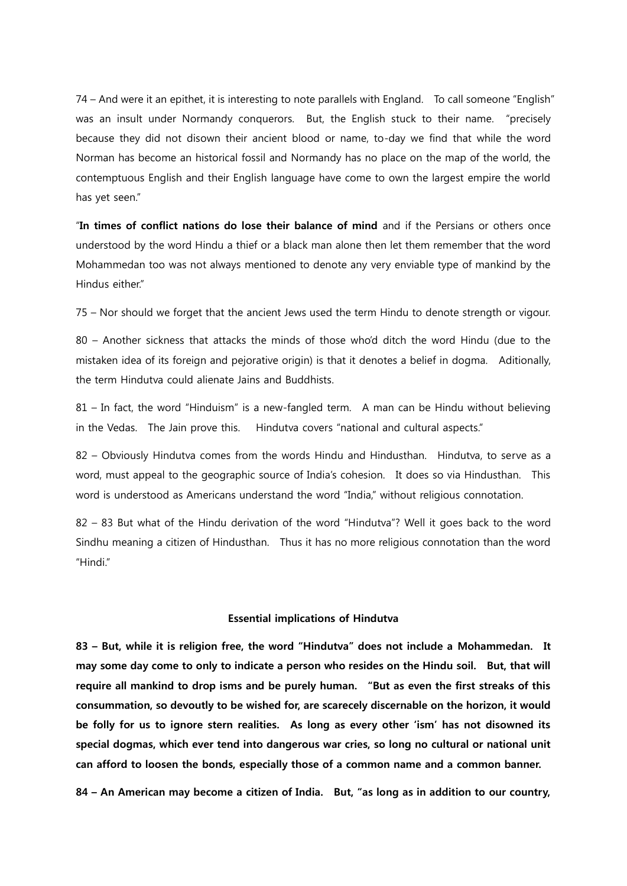74 – And were it an epithet, it is interesting to note parallels with England. To call someone "English" was an insult under Normandy conquerors. But, the English stuck to their name. "precisely because they did not disown their ancient blood or name, to-day we find that while the word Norman has become an historical fossil and Normandy has no place on the map of the world, the contemptuous English and their English language have come to own the largest empire the world has yet seen."

"In times of conflict nations do lose their balance of mind and if the Persians or others once understood by the word Hindu a thief or a black man alone then let them remember that the word Mohammedan too was not always mentioned to denote any very enviable type of mankind by the Hindus either"

75 – Nor should we forget that the ancient Jews used the term Hindu to denote strength or vigour.

80 – Another sickness that attacks the minds of those who'd ditch the word Hindu (due to the mistaken idea of its foreign and pejorative origin) is that it denotes a belief in dogma. Aditionally, the term Hindutva could alienate Jains and Buddhists.

81 – In fact, the word "Hinduism" is a new-fangled term. A man can be Hindu without believing in the Vedas. The Jain prove this. Hindutva covers "national and cultural aspects."

82 – Obviously Hindutva comes from the words Hindu and Hindusthan. Hindutva, to serve as a word, must appeal to the geographic source of India's cohesion. It does so via Hindusthan. This word is understood as Americans understand the word "India," without religious connotation.

82 – 83 But what of the Hindu derivation of the word "Hindutva"? Well it goes back to the word Sindhu meaning a citizen of Hindusthan. Thus it has no more religious connotation than the word "Hindi."

#### Essential implications of Hindutva

83 – But, while it is religion free, the word "Hindutva" does not include a Mohammedan. It may some day come to only to indicate a person who resides on the Hindu soil. But, that will require all mankind to drop isms and be purely human. "But as even the first streaks of this consummation, so devoutly to be wished for, are scarecely discernable on the horizon, it would be folly for us to ignore stern realities. As long as every other 'ism' has not disowned its special dogmas, which ever tend into dangerous war cries, so long no cultural or national unit can afford to loosen the bonds, especially those of a common name and a common banner.

84 – An American may become a citizen of India. But, "as long as in addition to our country,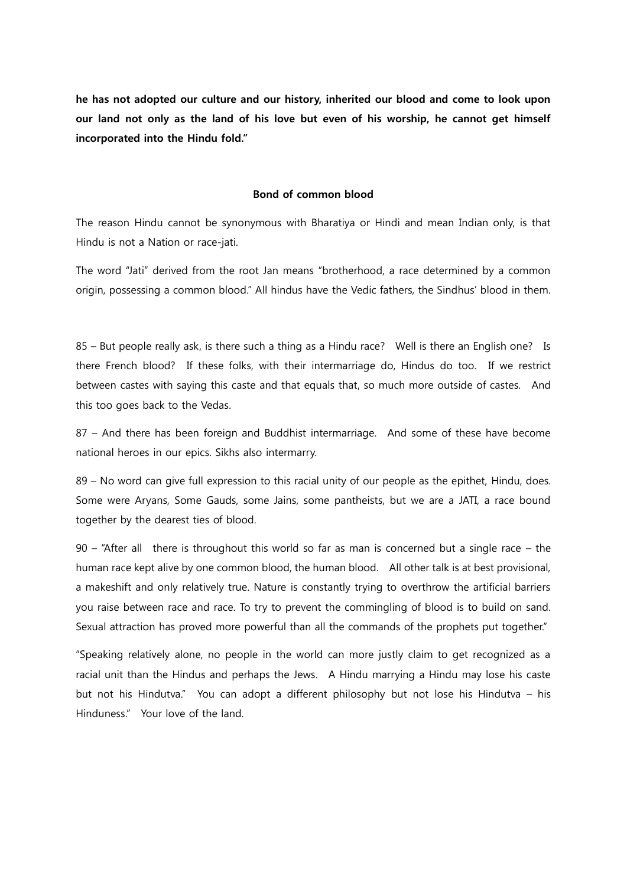he has not adopted our culture and our history, inherited our blood and come to look upon our land not only as the land of his love but even of his worship, he cannot get himself incorporated into the Hindu fold."

## Bond of common blood

The reason Hindu cannot be synonymous with Bharatiya or Hindi and mean Indian only, is that Hindu is not a Nation or race-jati.

The word "Jati" derived from the root Jan means "brotherhood, a race determined by a common origin, possessing a common blood." All hindus have the Vedic fathers, the Sindhus' blood in them.

85 – But people really ask, is there such a thing as a Hindu race? Well is there an English one? Is there French blood? If these folks, with their intermarriage do, Hindus do too. If we restrict between castes with saying this caste and that equals that, so much more outside of castes. And this too goes back to the Vedas.

87 – And there has been foreign and Buddhist intermarriage. And some of these have become national heroes in our epics. Sikhs also intermarry.

89 – No word can give full expression to this racial unity of our people as the epithet, Hindu, does. Some were Aryans, Some Gauds, some Jains, some pantheists, but we are a JATI, a race bound together by the dearest ties of blood.

90 – "After all there is throughout this world so far as man is concerned but a single race – the human race kept alive by one common blood, the human blood. All other talk is at best provisional, a makeshift and only relatively true. Nature is constantly trying to overthrow the artificial barriers you raise between race and race. To try to prevent the commingling of blood is to build on sand. Sexual attraction has proved more powerful than all the commands of the prophets put together."

"Speaking relatively alone, no people in the world can more justly claim to get recognized as a racial unit than the Hindus and perhaps the Jews. A Hindu marrying a Hindu may lose his caste but not his Hindutva." You can adopt a different philosophy but not lose his Hindutva – his Hinduness." Your love of the land.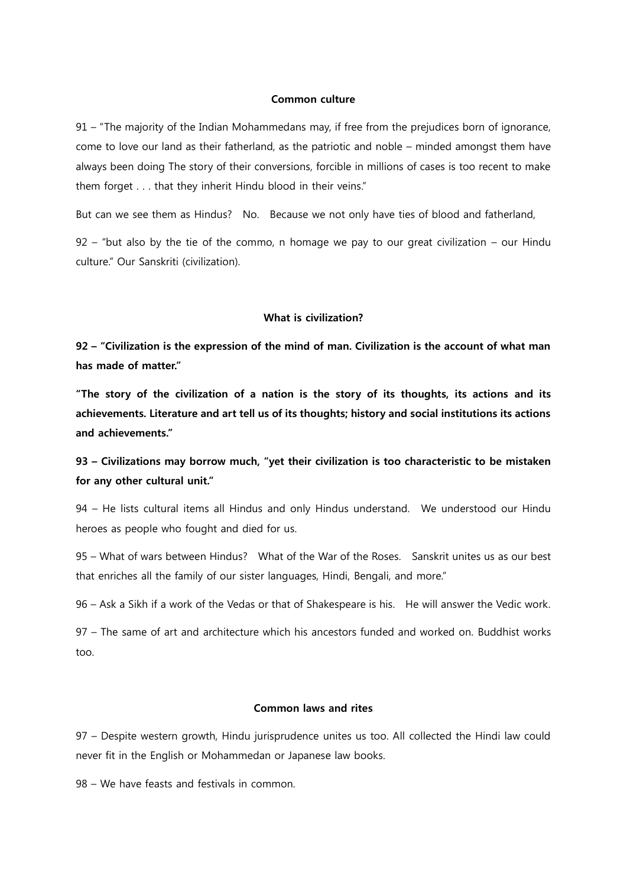## Common culture

91 – "The majority of the Indian Mohammedans may, if free from the prejudices born of ignorance, come to love our land as their fatherland, as the patriotic and noble – minded amongst them have always been doing The story of their conversions, forcible in millions of cases is too recent to make them forget . . . that they inherit Hindu blood in their veins."

But can we see them as Hindus? No. Because we not only have ties of blood and fatherland,

92 – "but also by the tie of the commo, n homage we pay to our great civilization – our Hindu culture." Our Sanskriti (civilization).

## What is civilization?

92 – "Civilization is the expression of the mind of man. Civilization is the account of what man has made of matter."

"The story of the civilization of a nation is the story of its thoughts, its actions and its achievements. Literature and art tell us of its thoughts; history and social institutions its actions and achievements."

# 93 – Civilizations may borrow much, "yet their civilization is too characteristic to be mistaken for any other cultural unit."

94 – He lists cultural items all Hindus and only Hindus understand. We understood our Hindu heroes as people who fought and died for us.

95 – What of wars between Hindus? What of the War of the Roses. Sanskrit unites us as our best that enriches all the family of our sister languages, Hindi, Bengali, and more."

96 – Ask a Sikh if a work of the Vedas or that of Shakespeare is his. He will answer the Vedic work.

97 – The same of art and architecture which his ancestors funded and worked on. Buddhist works too.

## Common laws and rites

97 – Despite western growth, Hindu jurisprudence unites us too. All collected the Hindi law could never fit in the English or Mohammedan or Japanese law books.

98 – We have feasts and festivals in common.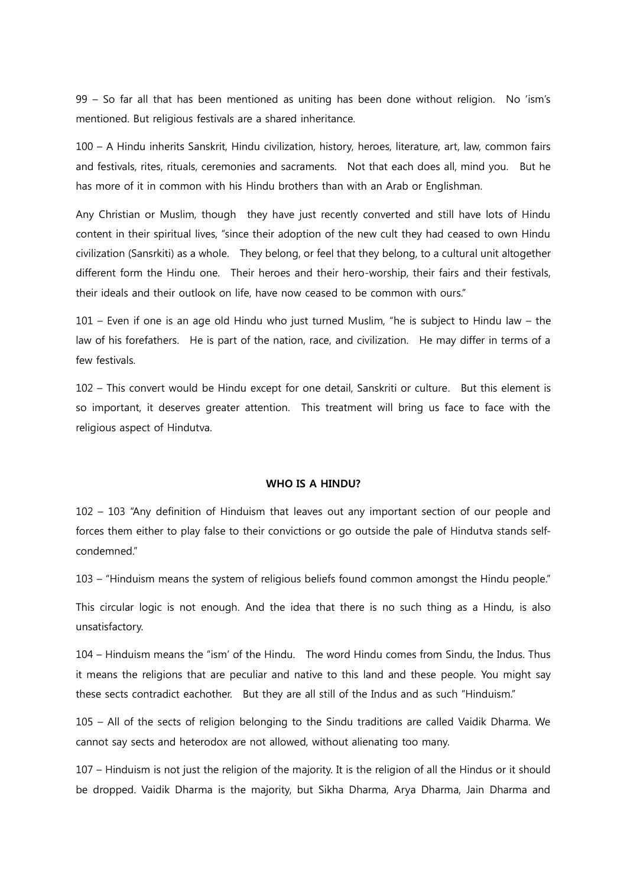99 – So far all that has been mentioned as uniting has been done without religion. No 'ism's mentioned. But religious festivals are a shared inheritance.

100 – A Hindu inherits Sanskrit, Hindu civilization, history, heroes, literature, art, law, common fairs and festivals, rites, rituals, ceremonies and sacraments. Not that each does all, mind you. But he has more of it in common with his Hindu brothers than with an Arab or Englishman.

Any Christian or Muslim, though they have just recently converted and still have lots of Hindu content in their spiritual lives, "since their adoption of the new cult they had ceased to own Hindu civilization (Sansrkiti) as a whole. They belong, or feel that they belong, to a cultural unit altogether different form the Hindu one. Their heroes and their hero-worship, their fairs and their festivals, their ideals and their outlook on life, have now ceased to be common with ours."

101 – Even if one is an age old Hindu who just turned Muslim, "he is subject to Hindu law – the law of his forefathers. He is part of the nation, race, and civilization. He may differ in terms of a few festivals.

102 – This convert would be Hindu except for one detail, Sanskriti or culture. But this element is so important, it deserves greater attention. This treatment will bring us face to face with the religious aspect of Hindutva.

## WHO IS A HINDU?

102 – 103 "Any definition of Hinduism that leaves out any important section of our people and forces them either to play false to their convictions or go outside the pale of Hindutva stands selfcondemned."

103 – "Hinduism means the system of religious beliefs found common amongst the Hindu people."

This circular logic is not enough. And the idea that there is no such thing as a Hindu, is also unsatisfactory.

104 – Hinduism means the "ism' of the Hindu. The word Hindu comes from Sindu, the Indus. Thus it means the religions that are peculiar and native to this land and these people. You might say these sects contradict eachother. But they are all still of the Indus and as such "Hinduism."

105 – All of the sects of religion belonging to the Sindu traditions are called Vaidik Dharma. We cannot say sects and heterodox are not allowed, without alienating too many.

107 – Hinduism is not just the religion of the majority. It is the religion of all the Hindus or it should be dropped. Vaidik Dharma is the majority, but Sikha Dharma, Arya Dharma, Jain Dharma and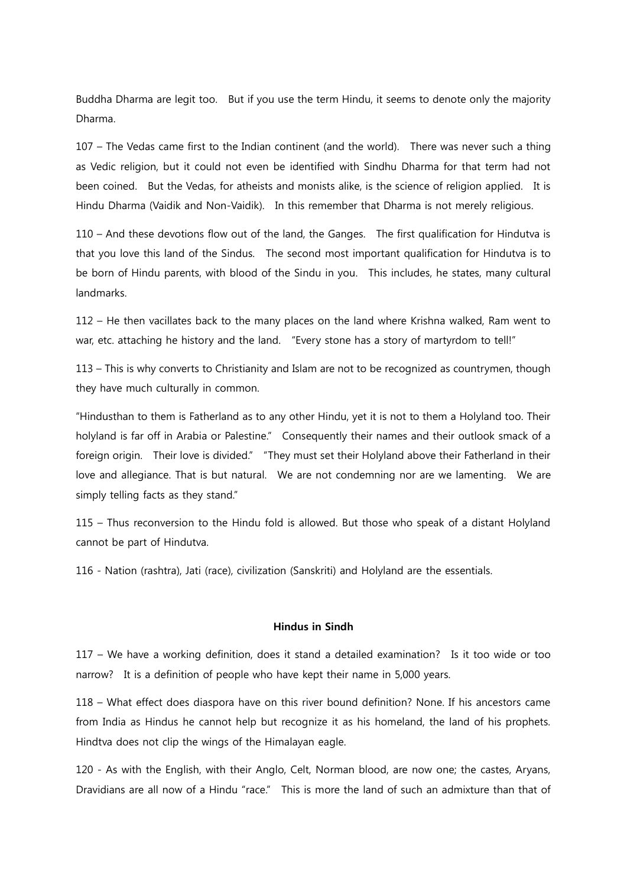Buddha Dharma are legit too. But if you use the term Hindu, it seems to denote only the majority Dharma.

107 – The Vedas came first to the Indian continent (and the world). There was never such a thing as Vedic religion, but it could not even be identified with Sindhu Dharma for that term had not been coined. But the Vedas, for atheists and monists alike, is the science of religion applied. It is Hindu Dharma (Vaidik and Non-Vaidik). In this remember that Dharma is not merely religious.

110 – And these devotions flow out of the land, the Ganges. The first qualification for Hindutva is that you love this land of the Sindus. The second most important qualification for Hindutva is to be born of Hindu parents, with blood of the Sindu in you. This includes, he states, many cultural landmarks.

112 – He then vacillates back to the many places on the land where Krishna walked, Ram went to war, etc. attaching he history and the land. "Every stone has a story of martyrdom to tell!"

113 – This is why converts to Christianity and Islam are not to be recognized as countrymen, though they have much culturally in common.

"Hindusthan to them is Fatherland as to any other Hindu, yet it is not to them a Holyland too. Their holyland is far off in Arabia or Palestine." Consequently their names and their outlook smack of a foreign origin. Their love is divided." "They must set their Holyland above their Fatherland in their love and allegiance. That is but natural. We are not condemning nor are we lamenting. We are simply telling facts as they stand."

115 – Thus reconversion to the Hindu fold is allowed. But those who speak of a distant Holyland cannot be part of Hindutva.

116 - Nation (rashtra), Jati (race), civilization (Sanskriti) and Holyland are the essentials.

## Hindus in Sindh

117 – We have a working definition, does it stand a detailed examination? Is it too wide or too narrow? It is a definition of people who have kept their name in 5,000 years.

118 – What effect does diaspora have on this river bound definition? None. If his ancestors came from India as Hindus he cannot help but recognize it as his homeland, the land of his prophets. Hindtva does not clip the wings of the Himalayan eagle.

120 - As with the English, with their Anglo, Celt, Norman blood, are now one; the castes, Aryans, Dravidians are all now of a Hindu "race." This is more the land of such an admixture than that of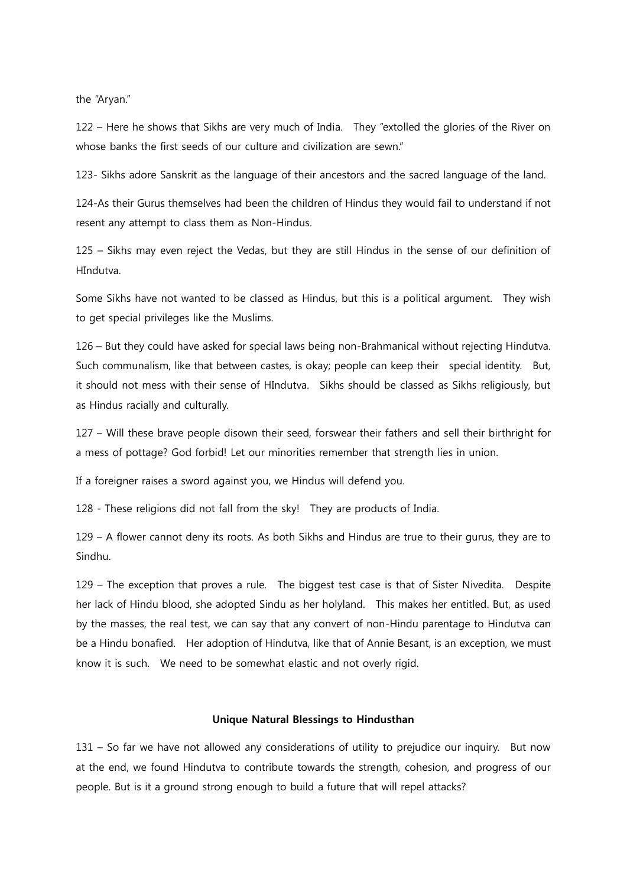the "Aryan."

122 – Here he shows that Sikhs are very much of India. They "extolled the glories of the River on whose banks the first seeds of our culture and civilization are sewn."

123- Sikhs adore Sanskrit as the language of their ancestors and the sacred language of the land.

124-As their Gurus themselves had been the children of Hindus they would fail to understand if not resent any attempt to class them as Non-Hindus.

125 – Sikhs may even reject the Vedas, but they are still Hindus in the sense of our definition of HIndutva.

Some Sikhs have not wanted to be classed as Hindus, but this is a political argument. They wish to get special privileges like the Muslims.

126 – But they could have asked for special laws being non-Brahmanical without rejecting Hindutva. Such communalism, like that between castes, is okay; people can keep their special identity. But, it should not mess with their sense of HIndutva. Sikhs should be classed as Sikhs religiously, but as Hindus racially and culturally.

127 – Will these brave people disown their seed, forswear their fathers and sell their birthright for a mess of pottage? God forbid! Let our minorities remember that strength lies in union.

If a foreigner raises a sword against you, we Hindus will defend you.

128 - These religions did not fall from the sky! They are products of India.

129 – A flower cannot deny its roots. As both Sikhs and Hindus are true to their gurus, they are to Sindhu.

129 – The exception that proves a rule. The biggest test case is that of Sister Nivedita. Despite her lack of Hindu blood, she adopted Sindu as her holyland. This makes her entitled. But, as used by the masses, the real test, we can say that any convert of non-Hindu parentage to Hindutva can be a Hindu bonafied. Her adoption of Hindutva, like that of Annie Besant, is an exception, we must know it is such. We need to be somewhat elastic and not overly rigid.

## Unique Natural Blessings to Hindusthan

131 – So far we have not allowed any considerations of utility to prejudice our inquiry. But now at the end, we found Hindutva to contribute towards the strength, cohesion, and progress of our people. But is it a ground strong enough to build a future that will repel attacks?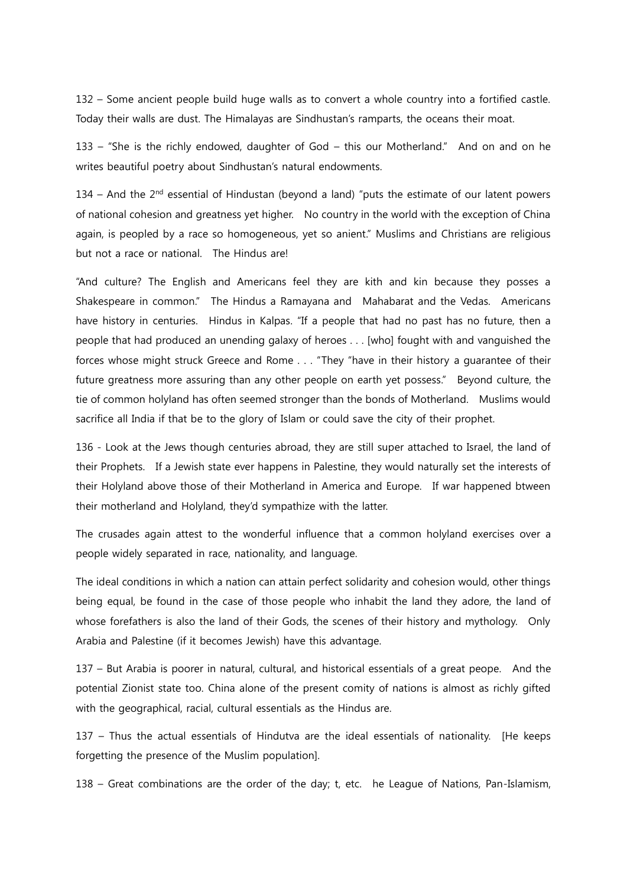132 – Some ancient people build huge walls as to convert a whole country into a fortified castle. Today their walls are dust. The Himalayas are Sindhustan's ramparts, the oceans their moat.

133 – "She is the richly endowed, daughter of God – this our Motherland." And on and on he writes beautiful poetry about Sindhustan's natural endowments.

134 – And the  $2<sup>nd</sup>$  essential of Hindustan (beyond a land) "puts the estimate of our latent powers of national cohesion and greatness yet higher. No country in the world with the exception of China again, is peopled by a race so homogeneous, yet so anient." Muslims and Christians are religious but not a race or national. The Hindus are!

"And culture? The English and Americans feel they are kith and kin because they posses a Shakespeare in common." The Hindus a Ramayana and Mahabarat and the Vedas. Americans have history in centuries. Hindus in Kalpas. "If a people that had no past has no future, then a people that had produced an unending galaxy of heroes . . . [who] fought with and vanguished the forces whose might struck Greece and Rome . . . "They "have in their history a guarantee of their future greatness more assuring than any other people on earth yet possess." Beyond culture, the tie of common holyland has often seemed stronger than the bonds of Motherland. Muslims would sacrifice all India if that be to the glory of Islam or could save the city of their prophet.

136 - Look at the Jews though centuries abroad, they are still super attached to Israel, the land of their Prophets. If a Jewish state ever happens in Palestine, they would naturally set the interests of their Holyland above those of their Motherland in America and Europe. If war happened btween their motherland and Holyland, they'd sympathize with the latter.

The crusades again attest to the wonderful influence that a common holyland exercises over a people widely separated in race, nationality, and language.

The ideal conditions in which a nation can attain perfect solidarity and cohesion would, other things being equal, be found in the case of those people who inhabit the land they adore, the land of whose forefathers is also the land of their Gods, the scenes of their history and mythology. Only Arabia and Palestine (if it becomes Jewish) have this advantage.

137 – But Arabia is poorer in natural, cultural, and historical essentials of a great peope. And the potential Zionist state too. China alone of the present comity of nations is almost as richly gifted with the geographical, racial, cultural essentials as the Hindus are.

137 – Thus the actual essentials of Hindutva are the ideal essentials of nationality. [He keeps forgetting the presence of the Muslim population].

138 – Great combinations are the order of the day; t, etc. he League of Nations, Pan-Islamism,